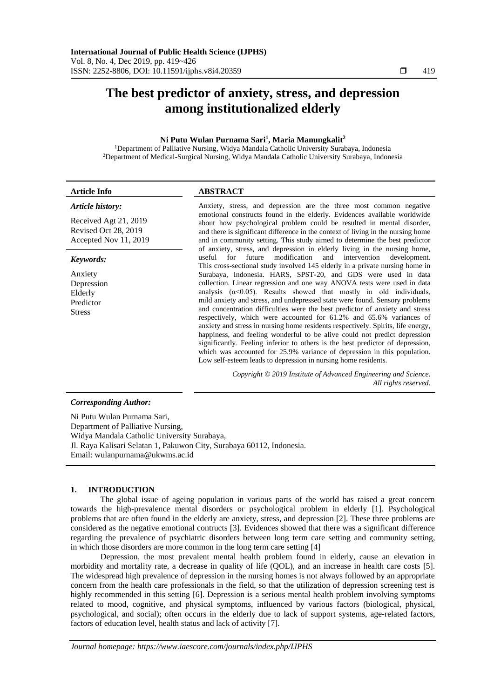# **The best predictor of anxiety, stress, and depression among institutionalized elderly**

## **Ni Putu Wulan Purnama Sari<sup>1</sup> , Maria Manungkalit<sup>2</sup>**

<sup>1</sup>Department of Palliative Nursing, Widya Mandala Catholic University Surabaya, Indonesia <sup>2</sup>Department of Medical-Surgical Nursing, Widya Mandala Catholic University Surabaya, Indonesia

| <b>Article Info</b>                                                                                                                                                                                                                                            | <b>ABSTRACT</b>                                                                                                                                                                                                                                                                                                                                                                                                                                                                                                                                                                                                                                                                                                                                                                                                                                                                                                                                |
|----------------------------------------------------------------------------------------------------------------------------------------------------------------------------------------------------------------------------------------------------------------|------------------------------------------------------------------------------------------------------------------------------------------------------------------------------------------------------------------------------------------------------------------------------------------------------------------------------------------------------------------------------------------------------------------------------------------------------------------------------------------------------------------------------------------------------------------------------------------------------------------------------------------------------------------------------------------------------------------------------------------------------------------------------------------------------------------------------------------------------------------------------------------------------------------------------------------------|
| Article history:                                                                                                                                                                                                                                               | Anxiety, stress, and depression are the three most common negative                                                                                                                                                                                                                                                                                                                                                                                                                                                                                                                                                                                                                                                                                                                                                                                                                                                                             |
| Received Agt 21, 2019<br>Revised Oct 28, 2019<br>Accepted Nov 11, 2019                                                                                                                                                                                         | emotional constructs found in the elderly. Evidences available worldwide<br>about how psychological problem could be resulted in mental disorder,<br>and there is significant difference in the context of living in the nursing home<br>and in community setting. This study aimed to determine the best predictor<br>of anxiety, stress, and depression in elderly living in the nursing home,                                                                                                                                                                                                                                                                                                                                                                                                                                                                                                                                               |
| Keywords:                                                                                                                                                                                                                                                      | future<br>for<br>modification<br>intervention<br>useful<br>development.<br>and                                                                                                                                                                                                                                                                                                                                                                                                                                                                                                                                                                                                                                                                                                                                                                                                                                                                 |
| Anxiety<br>Depression<br>Elderly<br>Predictor<br><b>Stress</b>                                                                                                                                                                                                 | This cross-sectional study involved 145 elderly in a private nursing home in<br>Surabaya, Indonesia. HARS, SPST-20, and GDS were used in data<br>collection. Linear regression and one way ANOVA tests were used in data<br>analysis $(\alpha < 0.05)$ . Results showed that mostly in old individuals,<br>mild anxiety and stress, and undepressed state were found. Sensory problems<br>and concentration difficulties were the best predictor of anxiety and stress<br>respectively, which were accounted for 61.2% and 65.6% variances of<br>anxiety and stress in nursing home residents respectively. Spirits, life energy,<br>happiness, and feeling wonderful to be alive could not predict depression<br>significantly. Feeling inferior to others is the best predictor of depression,<br>which was accounted for 25.9% variance of depression in this population.<br>Low self-esteem leads to depression in nursing home residents. |
|                                                                                                                                                                                                                                                                | Copyright © 2019 Institute of Advanced Engineering and Science.<br>All rights reserved.                                                                                                                                                                                                                                                                                                                                                                                                                                                                                                                                                                                                                                                                                                                                                                                                                                                        |
| <b>Corresponding Author:</b><br>the second contract of the second contract of the second contract of the second contract of the second contract of the second contract of the second contract of the second contract of the second contract of the second cont |                                                                                                                                                                                                                                                                                                                                                                                                                                                                                                                                                                                                                                                                                                                                                                                                                                                                                                                                                |

Ni Putu Wulan Purnama Sari, Department of Palliative Nursing, Widya Mandala Catholic University Surabaya, Jl. Raya Kalisari Selatan 1, Pakuwon City, Surabaya 60112, Indonesia. Email: wulanpurnama@ukwms.ac.id

#### **1. INTRODUCTION**

The global issue of ageing population in various parts of the world has raised a great concern towards the high-prevalence mental disorders or psychological problem in elderly [1]. Psychological problems that are often found in the elderly are anxiety, stress, and depression [2]. These three problems are considered as the negative emotional contructs [3]. Evidences showed that there was a significant difference regarding the prevalence of psychiatric disorders between long term care setting and community setting, in which those disorders are more common in the long term care setting [4]

Depression, the most prevalent mental health problem found in elderly, cause an elevation in morbidity and mortality rate, a decrease in quality of life (QOL), and an increase in health care costs [5]. The widespread high prevalence of depression in the nursing homes is not always followed by an appropriate concern from the health care professionals in the field, so that the utilization of depression screening test is highly recommended in this setting [6]. Depression is a serious mental health problem involving symptoms related to mood, cognitive, and physical symptoms, influenced by various factors (biological, physical, psychological, and social); often occurs in the elderly due to lack of support systems, age-related factors, factors of education level, health status and lack of activity [7].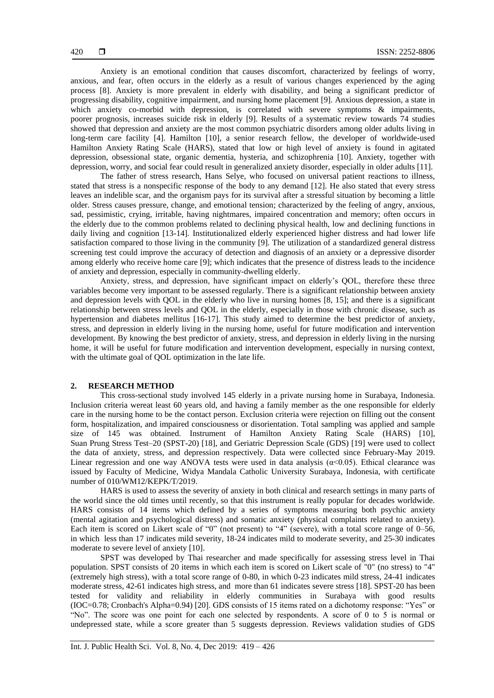Anxiety is an emotional condition that causes discomfort, characterized by feelings of worry, anxious, and fear, often occurs in the elderly as a result of various changes experienced by the aging process [8]. Anxiety is more prevalent in elderly with disability, and being a significant predictor of progressing disability, cognitive impairment, and nursing home placement [9]. Anxious depression, a state in which anxiety co-morbid with depression, is correlated with severe symptoms & impairments, poorer prognosis, increases suicide risk in elderly [9]. Results of a systematic review towards 74 studies showed that depression and anxiety are the most common psychiatric disorders among older adults living in long-term care facility [4]. Hamilton [10], a senior research fellow, the developer of worldwide-used Hamilton Anxiety Rating Scale (HARS), stated that low or high level of anxiety is found in agitated depression, obsessional state, organic dementia, hysteria, and schizophrenia [10]. Anxiety, together with depression, worry, and social fear could result in generalized anxiety disorder, especially in older adults [11].

The father of stress research, Hans Selye, who focused on universal patient reactions to illness, stated that stress is a nonspecific response of the body to any demand [12]. He also stated that every stress leaves an indelible scar, and the organism pays for its survival after a stressful situation by becoming a little older. Stress causes pressure, change, and emotional tension; characterized by the feeling of angry, anxious, sad, pessimistic, crying, irritable, having nightmares, impaired concentration and memory; often occurs in the elderly due to the common problems related to declining physical health, low and declining functions in daily living and cognition [13-14]. Institutionalized elderly experienced higher distress and had lower life satisfaction compared to those living in the community [9]. The utilization of a standardized general distress screening test could improve the accuracy of detection and diagnosis of an anxiety or a depressive disorder among elderly who receive home care [9]; which indicates that the presence of distress leads to the incidence of anxiety and depression, especially in community-dwelling elderly.

Anxiety, stress, and depression, have significant impact on elderly's QOL, therefore these three variables become very important to be assessed regularly. There is a significant relationship between anxiety and depression levels with QOL in the elderly who live in nursing homes [8, 15]; and there is a significant relationship between stress levels and QOL in the elderly, especially in those with chronic disease, such as hypertension and diabetes mellitus [16-17]. This study aimed to determine the best predictor of anxiety, stress, and depression in elderly living in the nursing home, useful for future modification and intervention development. By knowing the best predictor of anxiety, stress, and depression in elderly living in the nursing home, it will be useful for future modification and intervention development, especially in nursing context, with the ultimate goal of QOL optimization in the late life.

## **2. RESEARCH METHOD**

This cross-sectional study involved 145 elderly in a private nursing home in Surabaya, Indonesia. Inclusion criteria wereat least 60 years old, and having a family member as the one responsible for elderly care in the nursing home to be the contact person. Exclusion criteria were rejection on filling out the consent form, hospitalization, and impaired consciousness or disorientation. Total sampling was applied and sample size of 145 was obtained. Instrument of Hamilton Anxiety Rating Scale (HARS) [10], Suan Prung Stress Test–20 (SPST-20) [18], and Geriatric Depression Scale (GDS) [19] were used to collect the data of anxiety, stress, and depression respectively. Data were collected since February-May 2019. Linear regression and one way ANOVA tests were used in data analysis ( $\alpha$ <0.05). Ethical clearance was issued by Faculty of Medicine, Widya Mandala Catholic University Surabaya, Indonesia, with certificate number of 010/WM12/KEPK/T/2019.

HARS is used to assess the severity of anxiety in both clinical and research settings in many parts of the world since the old times until recently, so that this instrument is really popular for decades worldwide. HARS consists of 14 items which defined by a series of symptoms measuring both psychic anxiety (mental agitation and psychological distress) and somatic anxiety (physical complaints related to anxiety). Each item is scored on Likert scale of "0" (not present) to "4" (severe), with a total score range of 0–56, in which less than 17 indicates mild severity, 18-24 indicates mild to moderate severity, and 25-30 indicates moderate to severe level of anxiety [10].

SPST was developed by Thai researcher and made specifically for assessing stress level in Thai population. SPST consists of 20 items in which each item is scored on Likert scale of "0" (no stress) to "4" (extremely high stress), with a total score range of 0-80, in which 0-23 indicates mild stress, 24-41 indicates moderate stress, 42-61 indicates high stress, and more than 61 indicates severe stress [18]. SPST-20 has been tested for validity and reliability in elderly communities in Surabaya with good results (IOC=0.78; Cronbach's Alpha=0.94) [20]. GDS consists of 15 items rated on a dichotomy response: "Yes" or "No". The score was one point for each one selected by respondents. A score of 0 to 5 is normal or undepressed state, while a score greater than 5 suggests depression. Reviews validation studies of GDS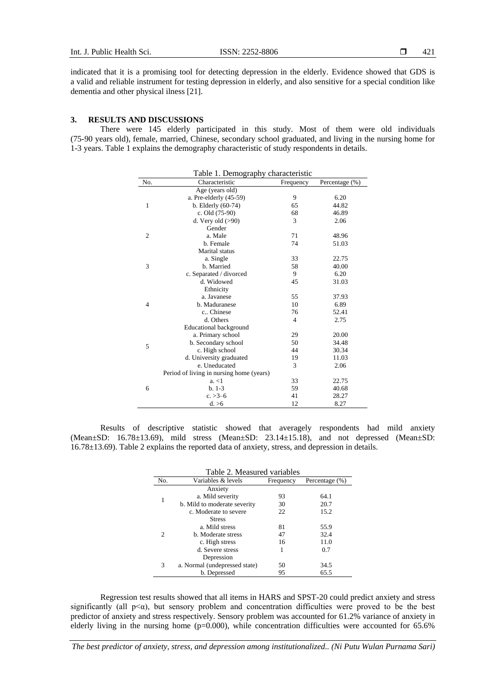indicated that it is a promising tool for detecting depression in the elderly. Evidence showed that GDS is a valid and reliable instrument for testing depression in elderly, and also sensitive for a special condition like dementia and other physical ilness [21].

## **3. RESULTS AND DISCUSSIONS**

There were 145 elderly participated in this study. Most of them were old individuals (75-90 years old), female, married, Chinese, secondary school graduated, and living in the nursing home for 1-3 years. Table 1 explains the demography characteristic of study respondents in details.

| Table 1. Demography characteristic |                                          |                |                |  |
|------------------------------------|------------------------------------------|----------------|----------------|--|
| No.                                | Characteristic                           | Frequency      | Percentage (%) |  |
|                                    | Age (years old)                          |                |                |  |
|                                    | a. Pre-elderly (45-59)                   | 9              | 6.20           |  |
| 1                                  | b. Elderly $(60-74)$                     | 65             | 44.82          |  |
|                                    | c. Old (75-90)                           | 68             | 46.89          |  |
|                                    | d. Very old $(>90)$                      | 3              | 2.06           |  |
|                                    | Gender                                   |                |                |  |
| $\overline{2}$                     | a. Male                                  | 71             | 48.96          |  |
|                                    | b. Female                                | 74             | 51.03          |  |
|                                    | Marital status                           |                |                |  |
|                                    | a. Single                                | 33             | 22.75          |  |
| 3                                  | b. Married                               | 58             | 40.00          |  |
|                                    | c. Separated / divorced                  | 9              | 6.20           |  |
|                                    | d. Widowed                               | 45             | 31.03          |  |
|                                    | Ethnicity                                |                |                |  |
|                                    | a. Javanese                              | 55             | 37.93          |  |
| $\overline{4}$                     | b. Maduranese                            | 10             | 6.89           |  |
|                                    | c., Chinese                              | 76             | 52.41          |  |
|                                    | d. Others                                | $\overline{4}$ | 2.75           |  |
|                                    | <b>Educational background</b>            |                |                |  |
|                                    | a. Primary school                        | 29             | 20.00          |  |
| 5                                  | b. Secondary school                      | 50             | 34.48          |  |
|                                    | c. High school                           | 44             | 30.34          |  |
|                                    | d. University graduated                  | 19             | 11.03          |  |
|                                    | e. Uneducated                            | 3              | 2.06           |  |
| 6                                  | Period of living in nursing home (years) |                |                |  |
|                                    | a, < 1                                   | 33             | 22.75          |  |
|                                    | $b. 1-3$                                 | 59             | 40.68          |  |
|                                    | $c. >3-6$                                | 41             | 28.27          |  |
|                                    | d. > 6                                   | 12             | 8.27           |  |

Results of descriptive statistic showed that averagely respondents had mild anxiety (Mean±SD: 16.78±13.69), mild stress (Mean±SD: 23.14±15.18), and not depressed (Mean±SD: 16.78±13.69). Table 2 explains the reported data of anxiety, stress, and depression in details.

| Table 2. Measured variables |                               |           |                |  |
|-----------------------------|-------------------------------|-----------|----------------|--|
| No.                         | Variables & levels            | Frequency | Percentage (%) |  |
| 1                           | Anxiety                       |           |                |  |
|                             | a. Mild severity              | 93        | 64.1           |  |
|                             | b. Mild to moderate severity  | 30        | 20.7           |  |
|                             | c. Moderate to severe         | 22        | 15.2           |  |
|                             | <b>Stress</b>                 |           |                |  |
|                             | a. Mild stress                | 81        | 55.9           |  |
| 2                           | b. Moderate stress            | 47        | 32.4           |  |
|                             | c. High stress                | 16        | 11.0           |  |
|                             | d. Severe stress              | 1         | 0.7            |  |
|                             | Depression                    |           |                |  |
| 3                           | a. Normal (undepressed state) | 50        | 34.5           |  |
|                             | b. Depressed                  | 95        | 65.5           |  |

Regression test results showed that all items in HARS and SPST-20 could predict anxiety and stress significantly (all  $p \leq \alpha$ ), but sensory problem and concentration difficulties were proved to be the best predictor of anxiety and stress respectively. Sensory problem was accounted for 61.2% variance of anxiety in elderly living in the nursing home ( $p=0.000$ ), while concentration difficulties were accounted for  $65.6\%$ 

*The best predictor of anxiety, stress, and depression among institutionalized.. (Ni Putu Wulan Purnama Sari)*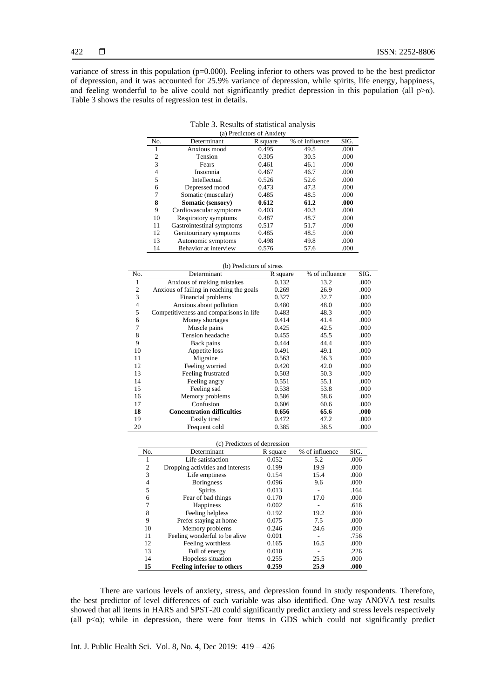variance of stress in this population (p=0.000). Feeling inferior to others was proved to be the best predictor of depression, and it was accounted for 25.9% variance of depression, while spirits, life energy, happiness, and feeling wonderful to be alive could not significantly predict depression in this population (all  $p>\alpha$ ). Table 3 shows the results of regression test in details.

Table 3. Results of statistical analysis

| (a) Predictors of Anxiety |                           |          |                |      |
|---------------------------|---------------------------|----------|----------------|------|
| No.                       | Determinant               | R square | % of influence | SIG. |
|                           | Anxious mood              | 0.495    | 49.5           | .000 |
| 2                         | Tension                   | 0.305    | 30.5           | .000 |
| 3                         | Fears                     | 0.461    | 46.1           | .000 |
| 4                         | Insomnia                  | 0.467    | 46.7           | .000 |
| 5                         | Intellectual              | 0.526    | 52.6           | .000 |
| 6                         | Depressed mood            | 0.473    | 47.3           | .000 |
|                           | Somatic (muscular)        | 0.485    | 48.5           | .000 |
| 8                         | Somatic (sensory)         | 0.612    | 61.2           | .000 |
| 9                         | Cardiovascular symptoms   | 0.403    | 40.3           | .000 |
| 10                        | Respiratory symptoms      | 0.487    | 48.7           | .000 |
| 11                        | Gastrointestinal symptoms | 0.517    | 51.7           | .000 |
| 12                        | Genitourinary symptoms    | 0.485    | 48.5           | .000 |
| 13                        | Autonomic symptoms        | 0.498    | 49.8           | .000 |
| 14                        | Behavior at interview     | 0.576    | 57.6           | .000 |

|     | (b) Predictors of stress                 |          |                |      |  |
|-----|------------------------------------------|----------|----------------|------|--|
| No. | Determinant                              | R square | % of influence | SIG. |  |
| 1   | Anxious of making mistakes               | 0.132    | 13.2           | .000 |  |
| 2   | Anxious of failing in reaching the goals | 0.269    | 26.9           | .000 |  |
| 3   | Financial problems                       | 0.327    | 32.7           | .000 |  |
| 4   | Anxious about pollution                  | 0.480    | 48.0           | .000 |  |
| 5   | Competitiveness and comparisons in life  | 0.483    | 48.3           | .000 |  |
| 6   | Money shortages                          | 0.414    | 41.4           | .000 |  |
| 7   | Muscle pains                             | 0.425    | 42.5           | .000 |  |
| 8   | Tension headache                         | 0.455    | 45.5           | .000 |  |
| 9   | Back pains                               | 0.444    | 44.4           | .000 |  |
| 10  | Appetite loss                            | 0.491    | 49.1           | .000 |  |
| 11  | Migraine                                 | 0.563    | 56.3           | .000 |  |
| 12  | Feeling worried                          | 0.420    | 42.0           | .000 |  |
| 13  | Feeling frustrated                       | 0.503    | 50.3           | .000 |  |
| 14  | Feeling angry                            | 0.551    | 55.1           | .000 |  |
| 15  | Feeling sad                              | 0.538    | 53.8           | .000 |  |
| 16  | Memory problems                          | 0.586    | 58.6           | .000 |  |
| 17  | Confusion                                | 0.606    | 60.6           | .000 |  |
| 18  | <b>Concentration difficulties</b>        | 0.656    | 65.6           | .000 |  |
| 19  | Easily tired                             | 0.472    | 47.2           | .000 |  |
| 20  | Frequent cold                            | 0.385    | 38.5           | .000 |  |

#### (c) Predictors of depression

| No.            | $(c)$ i redictors of depression<br>Determinant | R square | % of influence | SIG. |
|----------------|------------------------------------------------|----------|----------------|------|
| 1              | Life satisfaction                              | 0.052    | 5.2            | .006 |
| $\overline{2}$ | Dropping activities and interests              | 0.199    | 19.9           | .000 |
| 3              | Life emptiness                                 | 0.154    | 15.4           | .000 |
| 4              | <b>Boringness</b>                              | 0.096    | 9.6            | .000 |
| 5              | <b>Spirits</b>                                 | 0.013    |                | .164 |
| 6              | Fear of bad things                             | 0.170    | 17.0           | .000 |
| 7              | Happiness                                      | 0.002    |                | .616 |
| 8              | Feeling helpless                               | 0.192    | 19.2           | .000 |
| 9              | Prefer staying at home                         | 0.075    | 7.5            | .000 |
| 10             | Memory problems                                | 0.246    | 24.6           | .000 |
| 11             | Feeling wonderful to be alive                  | 0.001    |                | .756 |
| 12             | Feeling worthless                              | 0.165    | 16.5           | .000 |
| 13             | Full of energy                                 | 0.010    |                | .226 |
| 14             | Hopeless situation                             | 0.255    | 25.5           | .000 |
| 15             | <b>Feeling inferior to others</b>              | 0.259    | 25.9           | .000 |

There are various levels of anxiety, stress, and depression found in study respondents. Therefore, the best predictor of level differences of each variable was also identified. One way ANOVA test results showed that all items in HARS and SPST-20 could significantly predict anxiety and stress levels respectively (all  $p<\alpha$ ); while in depression, there were four items in GDS which could not significantly predict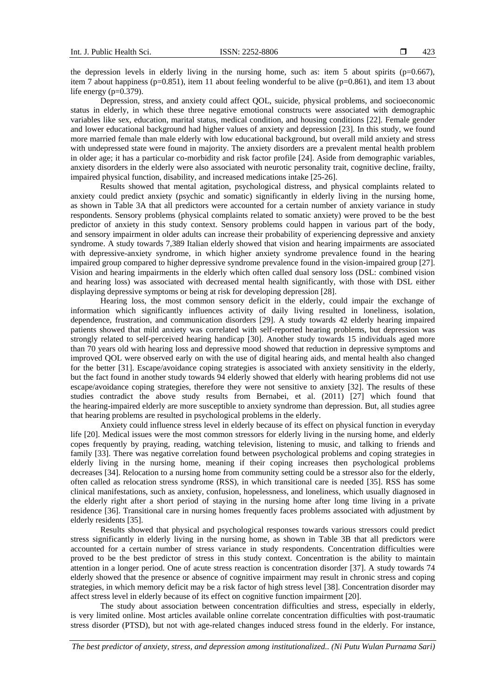the depression levels in elderly living in the nursing home, such as: item 5 about spirits ( $p=0.667$ ), item 7 about happiness ( $p=0.851$ ), item 11 about feeling wonderful to be alive ( $p=0.861$ ), and item 13 about life energy  $(p=0.379)$ .

Depression, stress, and anxiety could affect QOL, suicide, physical problems, and socioeconomic status in elderly, in which these three negative emotional constructs were associated with demographic variables like sex, education, marital status, medical condition, and housing conditions [22]. Female gender and lower educational background had higher values of anxiety and depression [23]. In this study, we found more married female than male elderly with low educational background, but overall mild anxiety and stress with undepressed state were found in majority. The anxiety disorders are a prevalent mental health problem in older age; it has a particular co-morbidity and risk factor profile [24]. Aside from demographic variables, anxiety disorders in the elderly were also associated with neurotic personality trait, cognitive decline, frailty, impaired physical function, disability, and increased medications intake [25-26].

Results showed that mental agitation, psychological distress, and physical complaints related to anxiety could predict anxiety (psychic and somatic) significantly in elderly living in the nursing home, as shown in Table 3A that all predictors were accounted for a certain number of anxiety variance in study respondents. Sensory problems (physical complaints related to somatic anxiety) were proved to be the best predictor of anxiety in this study context. Sensory problems could happen in various part of the body, and sensory impairment in older adults can increase their probability of experiencing depressive and anxiety syndrome. A study towards 7,389 Italian elderly showed that vision and hearing impairments are associated with depressive-anxiety syndrome, in which higher anxiety syndrome prevalence found in the hearing impaired group compared to higher depressive syndrome prevalence found in the vision-impaired group [27]. Vision and hearing impairments in the elderly which often called dual sensory loss (DSL: combined vision and hearing loss) was associated with decreased mental health significantly, with those with DSL either displaying depressive symptoms or being at risk for developing depression [28].

Hearing loss, the most common sensory deficit in the elderly, could impair the exchange of information which significantly influences activity of daily living resulted in loneliness, isolation, dependence, frustration, and communication disorders [29]. A study towards 42 elderly hearing impaired patients showed that mild anxiety was correlated with self-reported hearing problems, but depression was strongly related to self-perceived hearing handicap [30]. Another study towards 15 individuals aged more than 70 years old with hearing loss and depressive mood showed that reduction in depressive symptoms and improved QOL were observed early on with the use of digital hearing aids, and mental health also changed for the better [31]. Escape/avoidance coping strategies is associated with anxiety sensitivity in the elderly, but the fact found in another study towards 94 elderly showed that elderly with hearing problems did not use escape/avoidance coping strategies, therefore they were not sensitive to anxiety [32]. The results of these studies contradict the above study results from Bernabei, et al. (2011) [27] which found that the hearing-impaired elderly are more susceptible to anxiety syndrome than depression. But, all studies agree that hearing problems are resulted in psychological problems in the elderly.

Anxiety could influence stress level in elderly because of its effect on physical function in everyday life [20]. Medical issues were the most common stressors for elderly living in the nursing home, and elderly copes frequently by praying, reading, watching television, listening to music, and talking to friends and family [33]. There was negative correlation found between psychological problems and coping strategies in elderly living in the nursing home, meaning if their coping increases then psychological problems decreases [34]. Relocation to a nursing home from community setting could be a stressor also for the elderly, often called as relocation stress syndrome (RSS), in which transitional care is needed [35]. RSS has some clinical manifestations, such as anxiety, confusion, hopelessness, and loneliness, which usually diagnosed in the elderly right after a short period of staying in the nursing home after long time living in a private residence [36]. Transitional care in nursing homes frequently faces problems associated with adjustment by elderly residents [35].

Results showed that physical and psychological responses towards various stressors could predict stress significantly in elderly living in the nursing home, as shown in Table 3B that all predictors were accounted for a certain number of stress variance in study respondents. Concentration difficulties were proved to be the best predictor of stress in this study context. Concentration is the ability to maintain attention in a longer period. One of acute stress reaction is concentration disorder [37]. A study towards 74 elderly showed that the presence or absence of cognitive impairment may result in chronic stress and coping strategies, in which memory deficit may be a risk factor of high stress level [38]. Concentration disorder may affect stress level in elderly because of its effect on cognitive function impairment [20].

The study about association between concentration difficulties and stress, especially in elderly, is very limited online. Most articles available online correlate concentration difficulties with post-traumatic stress disorder (PTSD), but not with age-related changes induced stress found in the elderly. For instance,

*The best predictor of anxiety, stress, and depression among institutionalized.. (Ni Putu Wulan Purnama Sari)*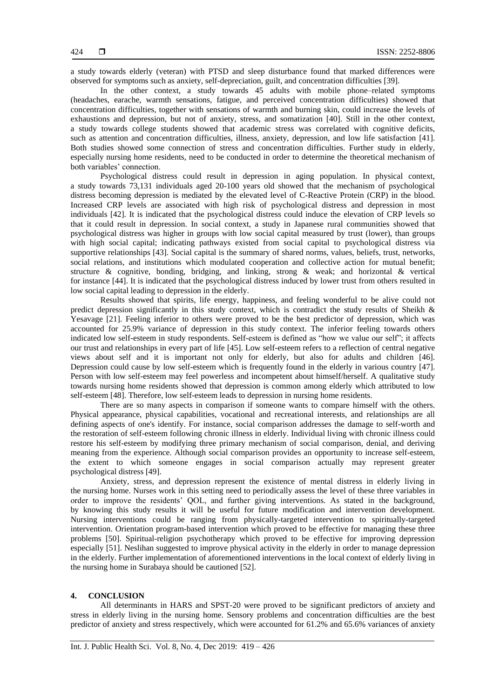a study towards elderly (veteran) with PTSD and sleep disturbance found that marked differences were observed for symptoms such as anxiety, self-depreciation, guilt, and concentration difficulties [39].

In the other context, a study towards 45 adults with mobile phone–related symptoms (headaches, earache, warmth sensations, fatigue, and perceived concentration difficulties) showed that concentration difficulties, together with sensations of warmth and burning skin, could increase the levels of exhaustions and depression, but not of anxiety, stress, and somatization [40]. Still in the other context, a study towards college students showed that academic stress was correlated with cognitive deficits, such as attention and concentration difficulties, illness, anxiety, depression, and low life satisfaction [41]. Both studies showed some connection of stress and concentration difficulties. Further study in elderly, especially nursing home residents, need to be conducted in order to determine the theoretical mechanism of both variables' connection.

Psychological distress could result in depression in aging population. In physical context, a study towards 73,131 individuals aged 20-100 years old showed that the mechanism of psychological distress becoming depression is mediated by the elevated level of C-Reactive Protein (CRP) in the blood. Increased CRP levels are associated with high risk of psychological distress and depression in most individuals [42]. It is indicated that the psychological distress could induce the elevation of CRP levels so that it could result in depression. In social context, a study in Japanese rural communities showed that psychological distress was higher in groups with low social capital measured by trust (lower), than groups with high social capital; indicating pathways existed from social capital to psychological distress via supportive relationships [43]. Social capital is the summary of shared norms, values, beliefs, trust, networks, social relations, and institutions which modulated cooperation and collective action for mutual benefit; structure & cognitive, bonding, bridging, and linking, strong & weak; and horizontal & vertical for instance [44]. It is indicated that the psychological distress induced by lower trust from others resulted in low social capital leading to depression in the elderly.

Results showed that spirits, life energy, happiness, and feeling wonderful to be alive could not predict depression significantly in this study context, which is contradict the study results of Sheikh & Yesavage [21]. Feeling inferior to others were proved to be the best predictor of depression, which was accounted for 25.9% variance of depression in this study context. The inferior feeling towards others indicated low self-esteem in study respondents. Self-esteem is defined as "how we value our self"; it affects our trust and relationships in every part of life [45]. Low self-esteem refers to a reflection of central negative views about self and it is important not only for elderly, but also for adults and children [46]. Depression could cause by low self-esteem which is frequently found in the elderly in various country [47]. Person with low self-esteem may feel powerless and incompetent about himself/herself. A qualitative study towards nursing home residents showed that depression is common among elderly which attributed to low self-esteem [48]. Therefore, low self-esteem leads to depression in nursing home residents.

There are so many aspects in comparison if someone wants to compare himself with the others. Physical appearance, physical capabilities, vocational and recreational interests, and relationships are all defining aspects of one's identify. For instance, social comparison addresses the damage to self-worth and the restoration of self-esteem following chronic illness in elderly. Individual living with chronic illness could restore his self-esteem by modifying three primary mechanism of social comparison, denial, and deriving meaning from the experience. Although social comparison provides an opportunity to increase self-esteem, the extent to which someone engages in social comparison actually may represent greater psychological distress [49].

Anxiety, stress, and depression represent the existence of mental distress in elderly living in the nursing home. Nurses work in this setting need to periodically assess the level of these three variables in order to improve the residents' QOL, and further giving interventions. As stated in the background, by knowing this study results it will be useful for future modification and intervention development. Nursing interventions could be ranging from physically-targeted intervention to spiritually-targeted intervention. Orientation program-based intervention which proved to be effective for managing these three problems [50]. Spiritual-religion psychotherapy which proved to be effective for improving depression especially [51]. Neslihan suggested to improve physical activity in the elderly in order to manage depression in the elderly. Further implementation of aforementioned interventions in the local context of elderly living in the nursing home in Surabaya should be cautioned [52].

# **4. CONCLUSION**

All determinants in HARS and SPST-20 were proved to be significant predictors of anxiety and stress in elderly living in the nursing home. Sensory problems and concentration difficulties are the best predictor of anxiety and stress respectively, which were accounted for 61.2% and 65.6% variances of anxiety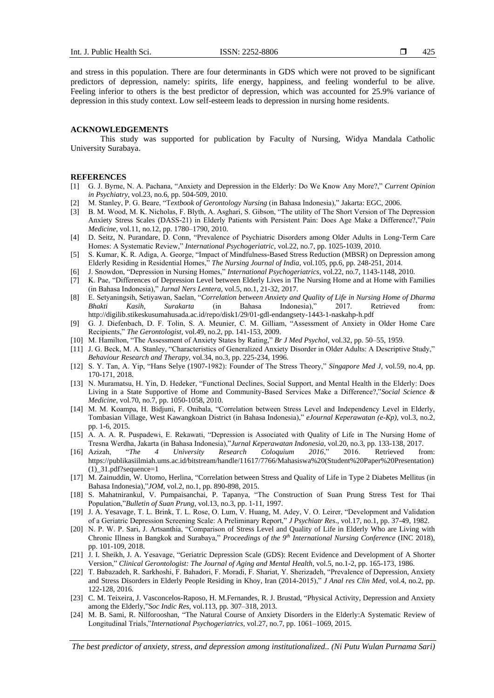and stress in this population. There are four determinants in GDS which were not proved to be significant predictors of depression, namely: spirits, life energy, happiness, and feeling wonderful to be alive. Feeling inferior to others is the best predictor of depression, which was accounted for 25.9% variance of depression in this study context. Low self-esteem leads to depression in nursing home residents.

#### **ACKNOWLEDGEMENTS**

This study was supported for publication by Faculty of Nursing, Widya Mandala Catholic University Surabaya.

## **REFERENCES**

- [1] G. J. Byrne, N. A. Pachana, "Anxiety and Depression in the Elderly: Do We Know Any More?," *Current Opinion in Psychiatry*, vol.23, no.6, pp. 504-509, 2010.
- [2] M. Stanley, P. G. Beare, "T*extbook of Gerontology Nursing* (in Bahasa Indonesia)," Jakarta: EGC, 2006.
- [3] B. M. Wood, M. K. Nicholas, F. Blyth, A. Asghari, S. Gibson, "The utility of The Short Version of The Depression Anxiety Stress Scales (DASS-21) in Elderly Patients with Persistent Pain: Does Age Make a Difference?,"*Pain Medicine*, vol.11, no.12, pp. 1780–1790, 2010.
- [4] D. Seitz, N. Purandare, D. Conn, "Prevalence of Psychiatric Disorders among Older Adults in Long-Term Care Homes: A Systematic Review," *International Psychogeriatric*, vol.22, no.7, pp. 1025-1039, 2010.
- [5] S. Kumar, K. R. Adiga, A. George, "Impact of Mindfulness-Based Stress Reduction (MBSR) on Depression among Elderly Residing in Residential Homes," *The Nursing Journal of India*, vol.105, pp.6, pp. 248-251, 2014.
- [6] J. Snowdon, "Depression in Nursing Homes," *International Psychogeriatrics*, vol.22, no.7, 1143-1148, 2010.
- [7] K. Pae, "Differences of Depression Level between Elderly Lives in The Nursing Home and at Home with Families (in Bahasa Indonesia)," *Jurnal Ners Lentera,* vol.5, no.1, 21-32, 2017.
- [8] E. Setyaningsih, Setiyawan, Saelan, "*Correlation between Anxiety and Quality of Life in Nursing Home of Dharma Bhakti Kasih, Surakarta* (in Bahasa Indonesia)," 2017. Retrieved from: <http://digilib.stikeskusumahusada.ac.id/repo/disk1/29/01-gdl-endangsety-1443-1-naskahp-h.pdf>
- [9] G. J. Diefenbach, D. F. Tolin, S. A. Meunier, C. M. Gilliam, "Assessment of Anxiety in Older Home Care Recipients," *The Gerontologist*, vol.49, no.2, pp. 141-153, 2009.
- [10] M. Hamilton, "The Assessment of Anxiety States by Rating," *Br J Med Psychol*, vol.32, pp. 50–55, 1959.
- [11] J. G. Beck, M. A. Stanley, "Characteristics of Generalized Anxiety Disorder in Older Adults: A Descriptive Study," *Behaviour Research and Therapy*, vol.34, no.3, pp. 225-234, 1996.
- [12] S. Y. Tan, A. Yip, "Hans Selye (1907-1982): Founder of The Stress Theory," *Singapore Med J*, vol.59, no.4, pp. 170-171, 2018.
- [13] N. Muramatsu, H. Yin, D. Hedeker, "Functional Declines, Social Support, and Mental Health in the Elderly: Does Living in a State Supportive of Home and Community-Based Services Make a Difference?,"*Social Science & Medicine*, vol.70, no.7, pp. 1050-1058, 2010.
- [14] M. M. Koampa, H. Bidjuni, F. Onibala, "Correlation between Stress Level and Independency Level in Elderly, Tombasian Village, West Kawangkoan District (in Bahasa Indonesia)," *eJournal Keperawatan (e-Kp),* vol.3, no.2, pp. 1-6, 2015.
- [15] A. A. A. R. Puspadewi, E. Rekawati, "Depression is Associated with Quality of Life in The Nursing Home of Tresna Werdha, Jakarta (in Bahasa Indonesia),"*Jurnal Keperawatan Indonesia,* vol.20, no.3, pp. 133-138, 2017.
- [16] Azizah, "*The 4 University Research Coloquium 2016*," 2016. Retrieved from: [https://publikasiilmiah.ums.ac.id/bitstream/handle/11617/7766/Mahasiswa%20\(Student%20Paper%20Presentation\)](https://publikasiilmiah.ums.ac.id/bitstream/handle/11617/7766/Mahasiswa%20(Student%20Paper%20Presentation)(1)_31.pdf?sequence=1)  $(1)$  31.pdf?sequence=1
- [17] M. Zainuddin, W. Utomo, Herlina, "Correlation between Stress and Quality of Life in Type 2 Diabetes Mellitus (in Bahasa Indonesia),"*JOM,* vol.2, no.1, pp. 890-898, 2015.
- [18] S. Mahatnirankul, V. Pumpaisanchai, P. Tapanya, "The Construction of Suan Prung Stress Test for Thai Population,"*Bulletin of Suan Prung*, vol.13, no.3, pp. 1-11, 1997.
- [19] J. A. Yesavage, T. L. Brink, T. L. Rose, O. Lum, V. Huang, M. Adey, V. O. Leirer, "Development and Validation of a Geriatric Depression Screening Scale: A Preliminary Report," *J Psychiatr Res*., vol.17, no.1, pp. 37-49, 1982.
- [20] N. P. W. P. Sari, J. Artsanthia, "Comparison of Stress Level and Quality of Life in Elderly Who are Living with Chronic Illness in Bangkok and Surabaya," *Proceedings of the 9th International Nursing Conference* (INC 2018), pp. 101-109, 2018.
- [21] J. I. Sheikh, J. A. Yesavage, "Geriatric Depression Scale (GDS): Recent Evidence and Development of A Shorter Version," *Clinical Gerontologist: The Journal of Aging and Mental Health,* vol.5, no.1-2, pp. 165-173, 1986.
- [22] T. Babazadeh, R. Sarkhoshi, F. Bahadori, F. Moradi, F. Shariat, Y. Sherizadeh, "Prevalence of Depression, Anxiety and Stress Disorders in Elderly People Residing in Khoy, Iran (2014-2015)," *J Anal res Clin Med*, vol.4, no.2, pp. 122-128, 2016.
- [23] C. M. Teixeira, J. Vasconcelos-Raposo, H. M.Fernandes, R. J. Brustad, "Physical Activity, Depression and Anxiety among the Elderly,"*Soc Indic Res*, vol.113, pp. 307–318, 2013.
- [24] M. B. Sami, R. Nilforooshan, "The Natural Course of Anxiety Disorders in the Elderly:A Systematic Review of Longitudinal Trials,"*International Psychogeriatrics,* vol.27, no.7, pp. 1061–1069, 2015.

*The best predictor of anxiety, stress, and depression among institutionalized.. (Ni Putu Wulan Purnama Sari)*